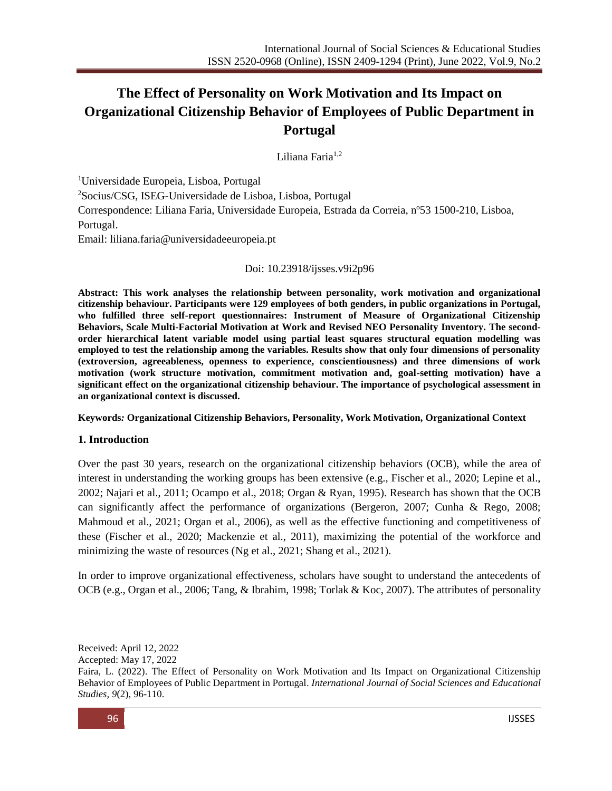# **The Effect of Personality on Work Motivation and Its Impact on Organizational Citizenship Behavior of Employees of Public Department in Portugal**

Liliana Faria1,2

<sup>1</sup>Universidade Europeia, Lisboa, Portugal <sup>2</sup>Socius/CSG, ISEG-Universidade de Lisboa, Lisboa, Portugal Correspondence: Liliana Faria, Universidade Europeia, Estrada da Correia, nº53 1500-210, Lisboa, Portugal.

Email: [liliana.faria@universidadeeuropeia.pt](mailto:liliana.faria@universidadeeuropeia.pt)

## Doi: 10.23918/ijsses.v9i2p96

**Abstract: This work analyses the relationship between personality, work motivation and organizational citizenship behaviour. Participants were 129 employees of both genders, in public organizations in Portugal, who fulfilled three self-report questionnaires: Instrument of Measure of Organizational Citizenship Behaviors, Scale Multi-Factorial Motivation at Work and Revised NEO Personality Inventory. The secondorder hierarchical latent variable model using partial least squares structural equation modelling was employed to test the relationship among the variables. Results show that only four dimensions of personality (extroversion, agreeableness, openness to experience, conscientiousness) and three dimensions of work motivation (work structure motivation, commitment motivation and, goal-setting motivation) have a significant effect on the organizational citizenship behaviour. The importance of psychological assessment in an organizational context is discussed.**

#### **Keywords***:* **Organizational Citizenship Behaviors, Personality, Work Motivation, Organizational Context**

## **1. Introduction**

Over the past 30 years, research on the organizational citizenship behaviors (OCB), while the area of interest in understanding the working groups has been extensive (e.g., Fischer et al., 2020; Lepine et al., 2002; Najari et al., 2011; Ocampo et al., 2018; Organ & Ryan, 1995). Research has shown that the OCB can significantly affect the performance of organizations (Bergeron, 2007; Cunha & Rego, 2008; Mahmoud et al., 2021; Organ et al., 2006), as well as the effective functioning and competitiveness of these (Fischer et al., 2020; Mackenzie et al., 2011), maximizing the potential of the workforce and minimizing the waste of resources (Ng et al., 2021; Shang et al., 2021).

In order to improve organizational effectiveness, scholars have sought to understand the antecedents of OCB (e.g., Organ et al., 2006; Tang, & Ibrahim, 1998; Torlak & Koc, 2007). The attributes of personality

Accepted: May 17, 2022

Received: April 12, 2022

Faira, L. (2022). The Effect of Personality on Work Motivation and Its Impact on Organizational Citizenship Behavior of Employees of Public Department in Portugal. *International Journal of Social Sciences and Educational Studies, 9*(2), 96-110.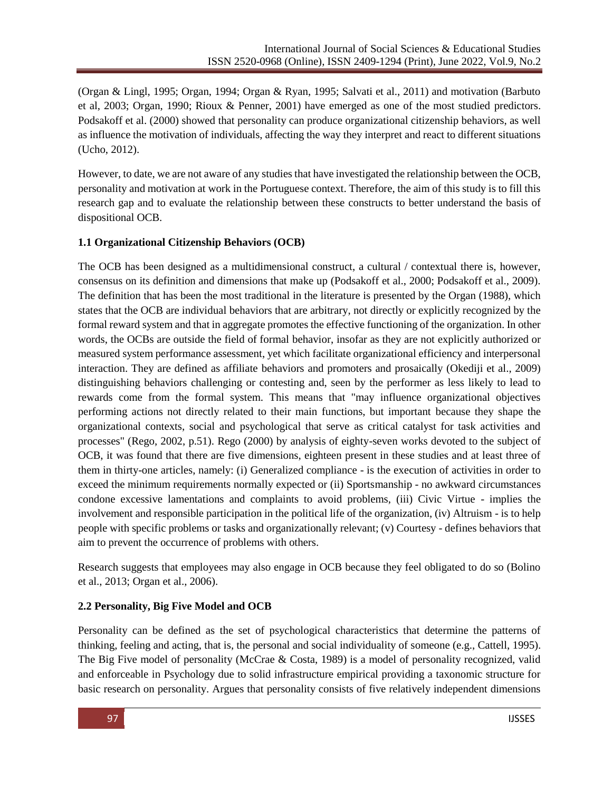(Organ & Lingl, 1995; Organ, 1994; Organ & Ryan, 1995; Salvati et al., 2011) and motivation (Barbuto et al, 2003; Organ, 1990; Rioux & Penner, 2001) have emerged as one of the most studied predictors. Podsakoff et al. (2000) showed that personality can produce organizational citizenship behaviors, as well as influence the motivation of individuals, affecting the way they interpret and react to different situations (Ucho, 2012).

However, to date, we are not aware of any studies that have investigated the relationship between the OCB, personality and motivation at work in the Portuguese context. Therefore, the aim of this study is to fill this research gap and to evaluate the relationship between these constructs to better understand the basis of dispositional OCB.

## **1.1 Organizational Citizenship Behaviors (OCB)**

The OCB has been designed as a multidimensional construct, a cultural / contextual there is, however, consensus on its definition and dimensions that make up (Podsakoff et al., 2000; Podsakoff et al., 2009). The definition that has been the most traditional in the literature is presented by the Organ (1988), which states that the OCB are individual behaviors that are arbitrary, not directly or explicitly recognized by the formal reward system and that in aggregate promotes the effective functioning of the organization. In other words, the OCBs are outside the field of formal behavior, insofar as they are not explicitly authorized or measured system performance assessment, yet which facilitate organizational efficiency and interpersonal interaction. They are defined as affiliate behaviors and promoters and prosaically (Okediji et al., 2009) distinguishing behaviors challenging or contesting and, seen by the performer as less likely to lead to rewards come from the formal system. This means that "may influence organizational objectives performing actions not directly related to their main functions, but important because they shape the organizational contexts, social and psychological that serve as critical catalyst for task activities and processes" (Rego, 2002, p.51). Rego (2000) by analysis of eighty-seven works devoted to the subject of OCB, it was found that there are five dimensions, eighteen present in these studies and at least three of them in thirty-one articles, namely: (i) Generalized compliance - is the execution of activities in order to exceed the minimum requirements normally expected or (ii) Sportsmanship - no awkward circumstances condone excessive lamentations and complaints to avoid problems, (iii) Civic Virtue - implies the involvement and responsible participation in the political life of the organization, (iv) Altruism - is to help people with specific problems or tasks and organizationally relevant; (v) Courtesy - defines behaviors that aim to prevent the occurrence of problems with others.

Research suggests that employees may also engage in OCB because they feel obligated to do so (Bolino et al., 2013; Organ et al., 2006).

# **2.2 Personality, Big Five Model and OCB**

Personality can be defined as the set of psychological characteristics that determine the patterns of thinking, feeling and acting, that is, the personal and social individuality of someone (e.g., Cattell, 1995). The Big Five model of personality (McCrae & Costa, 1989) is a model of personality recognized, valid and enforceable in Psychology due to solid infrastructure empirical providing a taxonomic structure for basic research on personality. Argues that personality consists of five relatively independent dimensions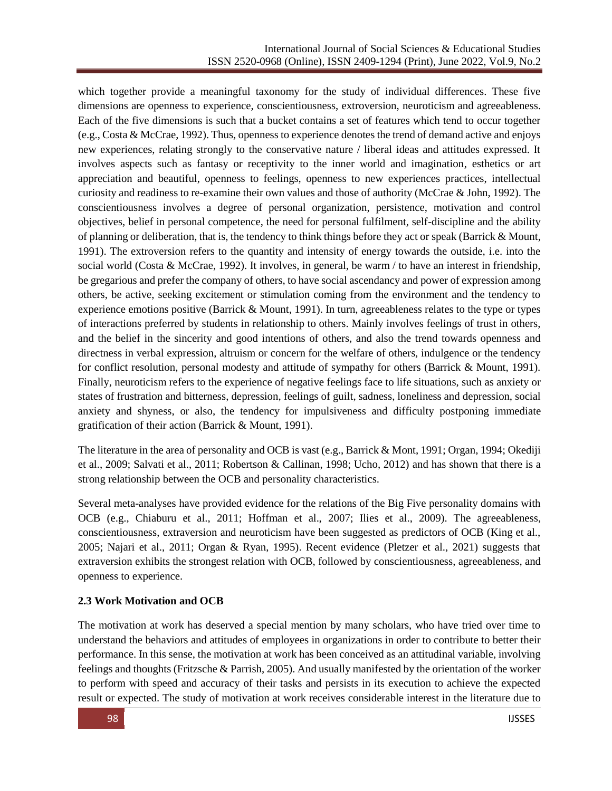which together provide a meaningful taxonomy for the study of individual differences. These five dimensions are openness to experience, conscientiousness, extroversion, neuroticism and agreeableness. Each of the five dimensions is such that a bucket contains a set of features which tend to occur together (e.g., Costa & McCrae, 1992). Thus, openness to experience denotes the trend of demand active and enjoys new experiences, relating strongly to the conservative nature / liberal ideas and attitudes expressed. It involves aspects such as fantasy or receptivity to the inner world and imagination, esthetics or art appreciation and beautiful, openness to feelings, openness to new experiences practices, intellectual curiosity and readiness to re-examine their own values and those of authority (McCrae & John, 1992). The conscientiousness involves a degree of personal organization, persistence, motivation and control objectives, belief in personal competence, the need for personal fulfilment, self-discipline and the ability of planning or deliberation, that is, the tendency to think things before they act or speak (Barrick & Mount, 1991). The extroversion refers to the quantity and intensity of energy towards the outside, i.e. into the social world (Costa & McCrae, 1992). It involves, in general, be warm / to have an interest in friendship, be gregarious and prefer the company of others, to have social ascendancy and power of expression among others, be active, seeking excitement or stimulation coming from the environment and the tendency to experience emotions positive (Barrick & Mount, 1991). In turn, agreeableness relates to the type or types of interactions preferred by students in relationship to others. Mainly involves feelings of trust in others, and the belief in the sincerity and good intentions of others, and also the trend towards openness and directness in verbal expression, altruism or concern for the welfare of others, indulgence or the tendency for conflict resolution, personal modesty and attitude of sympathy for others (Barrick & Mount, 1991). Finally, neuroticism refers to the experience of negative feelings face to life situations, such as anxiety or states of frustration and bitterness, depression, feelings of guilt, sadness, loneliness and depression, social anxiety and shyness, or also, the tendency for impulsiveness and difficulty postponing immediate gratification of their action (Barrick & Mount, 1991).

The literature in the area of personality and OCB is vast (e.g., Barrick & Mont, 1991; Organ, 1994; Okediji et al., 2009; Salvati et al., 2011; Robertson & Callinan, 1998; Ucho, 2012) and has shown that there is a strong relationship between the OCB and personality characteristics.

Several meta-analyses have provided evidence for the relations of the Big Five personality domains with OCB (e.g., Chiaburu et al., [2011;](https://www.tandfonline.com/doi/full/10.1080/08959285.2021.1891072) Hoffman et al., [2007;](https://www.tandfonline.com/doi/full/10.1080/08959285.2021.1891072) Ilies et al., [2009\)](https://www.tandfonline.com/doi/full/10.1080/08959285.2021.1891072). The agreeableness, conscientiousness, extraversion and neuroticism have been suggested as predictors of OCB (King et al., 2005; Najari et al., 2011; Organ & Ryan, 1995). Recent evidence (Pletzer et al., 2021) suggests that extraversion exhibits the strongest relation with OCB, followed by conscientiousness, agreeableness, and openness to experience.

# **2.3 Work Motivation and OCB**

The motivation at work has deserved a special mention by many scholars, who have tried over time to understand the behaviors and attitudes of employees in organizations in order to contribute to better their performance. In this sense, the motivation at work has been conceived as an attitudinal variable, involving feelings and thoughts (Fritzsche & Parrish, 2005). And usually manifested by the orientation of the worker to perform with speed and accuracy of their tasks and persists in its execution to achieve the expected result or expected. The study of motivation at work receives considerable interest in the literature due to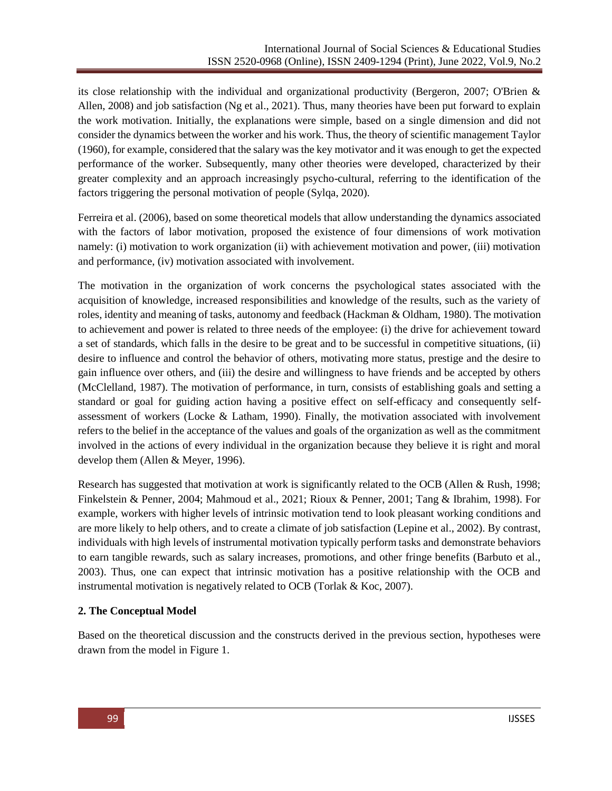its close relationship with the individual and organizational productivity (Bergeron, 2007; O'Brien & Allen, 2008) and job satisfaction (Ng et al., 2021). Thus, many theories have been put forward to explain the work motivation. Initially, the explanations were simple, based on a single dimension and did not consider the dynamics between the worker and his work. Thus, the theory of scientific management Taylor (1960), for example, considered that the salary was the key motivator and it was enough to get the expected performance of the worker. Subsequently, many other theories were developed, characterized by their greater complexity and an approach increasingly psycho-cultural, referring to the identification of the factors triggering the personal motivation of people (Sylqa, 2020).

Ferreira et al. (2006), based on some theoretical models that allow understanding the dynamics associated with the factors of labor motivation, proposed the existence of four dimensions of work motivation namely: (i) motivation to work organization (ii) with achievement motivation and power, (iii) motivation and performance, (iv) motivation associated with involvement.

The motivation in the organization of work concerns the psychological states associated with the acquisition of knowledge, increased responsibilities and knowledge of the results, such as the variety of roles, identity and meaning of tasks, autonomy and feedback (Hackman & Oldham, 1980). The motivation to achievement and power is related to three needs of the employee: (i) the drive for achievement toward a set of standards, which falls in the desire to be great and to be successful in competitive situations, (ii) desire to influence and control the behavior of others, motivating more status, prestige and the desire to gain influence over others, and (iii) the desire and willingness to have friends and be accepted by others (McClelland, 1987). The motivation of performance, in turn, consists of establishing goals and setting a standard or goal for guiding action having a positive effect on self-efficacy and consequently selfassessment of workers (Locke & Latham, 1990). Finally, the motivation associated with involvement refers to the belief in the acceptance of the values and goals of the organization as well as the commitment involved in the actions of every individual in the organization because they believe it is right and moral develop them (Allen & Meyer, 1996).

Research has suggested that motivation at work is significantly related to the OCB (Allen & Rush, 1998; Finkelstein & Penner, 2004; Mahmoud et al., 2021; Rioux & Penner, 2001; Tang & Ibrahim, 1998). For example, workers with higher levels of intrinsic motivation tend to look pleasant working conditions and are more likely to help others, and to create a climate of job satisfaction (Lepine et al., 2002). By contrast, individuals with high levels of instrumental motivation typically perform tasks and demonstrate behaviors to earn tangible rewards, such as salary increases, promotions, and other fringe benefits (Barbuto et al., 2003). Thus, one can expect that intrinsic motivation has a positive relationship with the OCB and instrumental motivation is negatively related to OCB (Torlak & Koc, 2007).

## **2. The Conceptual Model**

Based on the theoretical discussion and the constructs derived in the previous section, hypotheses were drawn from the model in Figure 1.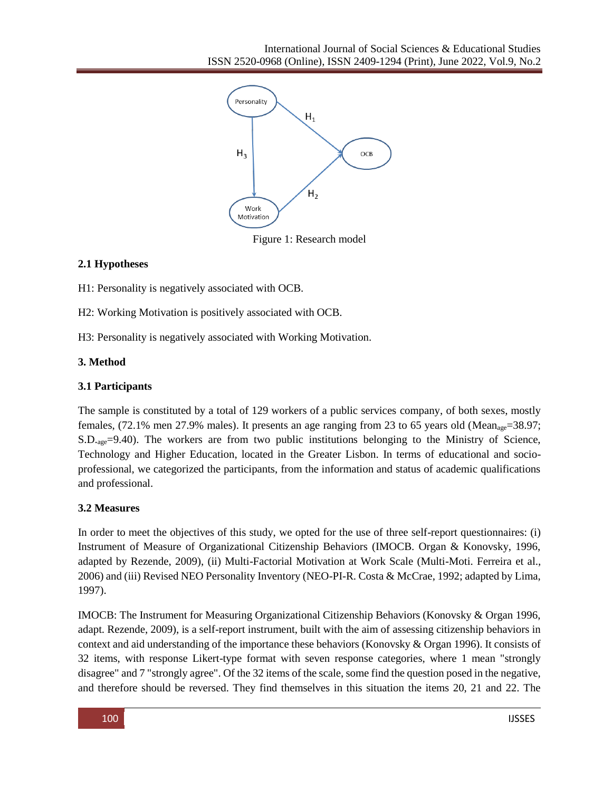

Figure 1: Research model

## **2.1 Hypotheses**

H1: Personality is negatively associated with OCB.

H2: Working Motivation is positively associated with OCB.

H3: Personality is negatively associated with Working Motivation.

## **3. Method**

## **3.1 Participants**

The sample is constituted by a total of 129 workers of a public services company, of both sexes, mostly females, (72.1% men 27.9% males). It presents an age ranging from 23 to 65 years old (Meanage=38.97; S.D.age=9.40). The workers are from two public institutions belonging to the Ministry of Science, Technology and Higher Education, located in the Greater Lisbon. In terms of educational and socioprofessional, we categorized the participants, from the information and status of academic qualifications and professional.

# **3.2 Measures**

In order to meet the objectives of this study, we opted for the use of three self-report questionnaires: (i) Instrument of Measure of Organizational Citizenship Behaviors (IMOCB. Organ & Konovsky, 1996, adapted by Rezende, 2009), (ii) Multi-Factorial Motivation at Work Scale (Multi-Moti. Ferreira et al., 2006) and (iii) Revised NEO Personality Inventory (NEO-PI-R. Costa & McCrae, 1992; adapted by Lima, 1997).

IMOCB: The Instrument for Measuring Organizational Citizenship Behaviors (Konovsky & Organ 1996, adapt. Rezende, 2009), is a self-report instrument, built with the aim of assessing citizenship behaviors in context and aid understanding of the importance these behaviors (Konovsky & Organ 1996). It consists of 32 items, with response Likert-type format with seven response categories, where 1 mean "strongly disagree" and 7 "strongly agree". Of the 32 items of the scale, some find the question posed in the negative, and therefore should be reversed. They find themselves in this situation the items 20, 21 and 22. The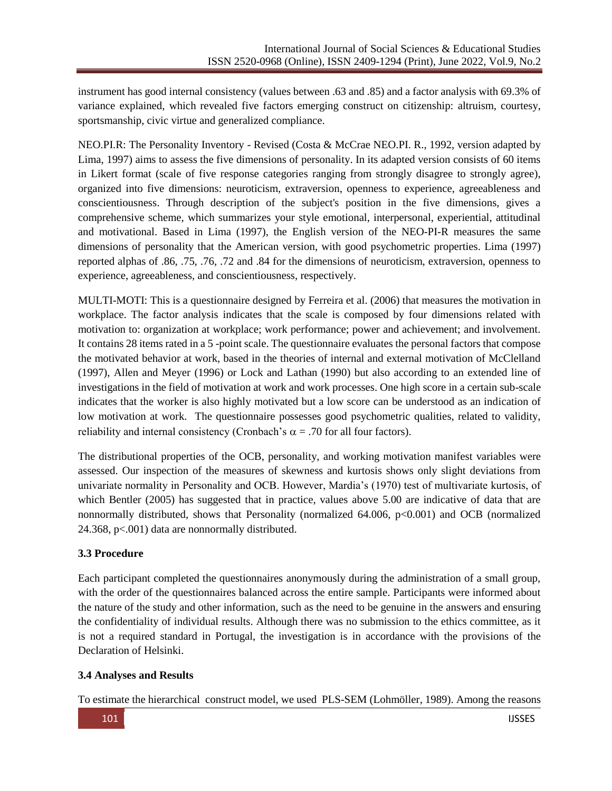instrument has good internal consistency (values between .63 and .85) and a factor analysis with 69.3% of variance explained, which revealed five factors emerging construct on citizenship: altruism, courtesy, sportsmanship, civic virtue and generalized compliance.

NEO.PI.R: The Personality Inventory - Revised (Costa & McCrae NEO.PI. R., 1992, version adapted by Lima, 1997) aims to assess the five dimensions of personality. In its adapted version consists of 60 items in Likert format (scale of five response categories ranging from strongly disagree to strongly agree), organized into five dimensions: neuroticism, extraversion, openness to experience, agreeableness and conscientiousness. Through description of the subject's position in the five dimensions, gives a comprehensive scheme, which summarizes your style emotional, interpersonal, experiential, attitudinal and motivational. Based in Lima (1997), the English version of the NEO-PI-R measures the same dimensions of personality that the American version, with good psychometric properties. Lima (1997) reported alphas of .86, .75, .76, .72 and .84 for the dimensions of neuroticism, extraversion, openness to experience, agreeableness, and conscientiousness, respectively.

MULTI-MOTI: This is a questionnaire designed by Ferreira et al. (2006) that measures the motivation in workplace. The factor analysis indicates that the scale is composed by four dimensions related with motivation to: organization at workplace; work performance; power and achievement; and involvement. It contains 28 items rated in a 5 -point scale. The questionnaire evaluates the personal factors that compose the motivated behavior at work, based in the theories of internal and external motivation of McClelland (1997), Allen and Meyer (1996) or Lock and Lathan (1990) but also according to an extended line of investigations in the field of motivation at work and work processes. One high score in a certain sub-scale indicates that the worker is also highly motivated but a low score can be understood as an indication of low motivation at work. The questionnaire possesses good psychometric qualities, related to validity, reliability and internal consistency (Cronbach's  $\alpha$  = .70 for all four factors).

The distributional properties of the OCB, personality, and working motivation manifest variables were assessed. Our inspection of the measures of skewness and kurtosis shows only slight deviations from univariate normality in Personality and OCB. However, Mardia's (1970) test of multivariate kurtosis, of which Bentler (2005) has suggested that in practice, values above 5.00 are indicative of data that are nonnormally distributed, shows that Personality (normalized 64.006, p<0.001) and OCB (normalized 24.368, p<.001) data are nonnormally distributed.

# **3.3 Procedure**

Each participant completed the questionnaires anonymously during the administration of a small group, with the order of the questionnaires balanced across the entire sample. Participants were informed about the nature of the study and other information, such as the need to be genuine in the answers and ensuring the confidentiality of individual results. Although there was no submission to the ethics committee, as it is not a required standard in Portugal, the investigation is in accordance with the provisions of the Declaration of Helsinki.

## **3.4 Analyses and Results**

To estimate the hierarchical construct model, we used PLS-SEM (Lohmöller, 1989). Among the reasons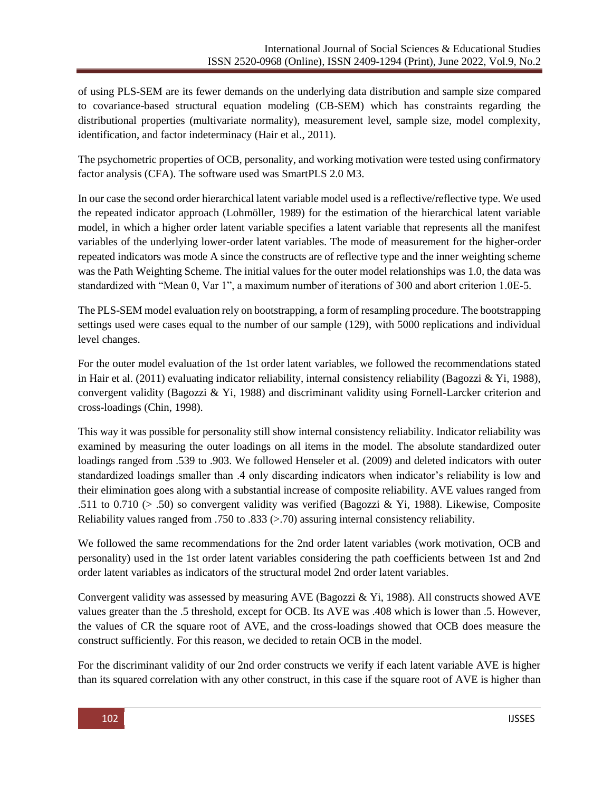of using PLS-SEM are its fewer demands on the underlying data distribution and sample size compared to covariance-based structural equation modeling (CB-SEM) which has constraints regarding the distributional properties (multivariate normality), measurement level, sample size, model complexity, identification, and factor indeterminacy (Hair et al., 2011).

The psychometric properties of OCB, personality, and working motivation were tested using confirmatory factor analysis (CFA). The software used was SmartPLS 2.0 M3.

In our case the second order hierarchical latent variable model used is a reflective/reflective type. We used the repeated indicator approach (Lohmöller, 1989) for the estimation of the hierarchical latent variable model, in which a higher order latent variable specifies a latent variable that represents all the manifest variables of the underlying lower-order latent variables. The mode of measurement for the higher-order repeated indicators was mode A since the constructs are of reflective type and the inner weighting scheme was the Path Weighting Scheme. The initial values for the outer model relationships was 1.0, the data was standardized with "Mean 0, Var 1", a maximum number of iterations of 300 and abort criterion 1.0E-5.

The PLS-SEM model evaluation rely on bootstrapping, a form of resampling procedure. The bootstrapping settings used were cases equal to the number of our sample (129), with 5000 replications and individual level changes.

For the outer model evaluation of the 1st order latent variables, we followed the recommendations stated in Hair et al. (2011) evaluating indicator reliability, internal consistency reliability (Bagozzi & Yi, 1988), convergent validity (Bagozzi & Yi, 1988) and discriminant validity using Fornell-Larcker criterion and cross-loadings (Chin, 1998).

This way it was possible for personality still show internal consistency reliability. Indicator reliability was examined by measuring the outer loadings on all items in the model. The absolute standardized outer loadings ranged from .539 to .903. We followed Henseler et al. (2009) and deleted indicators with outer standardized loadings smaller than .4 only discarding indicators when indicator's reliability is low and their elimination goes along with a substantial increase of composite reliability. AVE values ranged from .511 to 0.710 ( $> .50$ ) so convergent validity was verified (Bagozzi & Yi, 1988). Likewise, Composite Reliability values ranged from .750 to .833 (>.70) assuring internal consistency reliability.

We followed the same recommendations for the 2nd order latent variables (work motivation, OCB and personality) used in the 1st order latent variables considering the path coefficients between 1st and 2nd order latent variables as indicators of the structural model 2nd order latent variables.

Convergent validity was assessed by measuring AVE (Bagozzi & Yi, 1988). All constructs showed AVE values greater than the .5 threshold, except for OCB. Its AVE was .408 which is lower than .5. However, the values of CR the square root of AVE, and the cross-loadings showed that OCB does measure the construct sufficiently. For this reason, we decided to retain OCB in the model.

For the discriminant validity of our 2nd order constructs we verify if each latent variable AVE is higher than its squared correlation with any other construct, in this case if the square root of AVE is higher than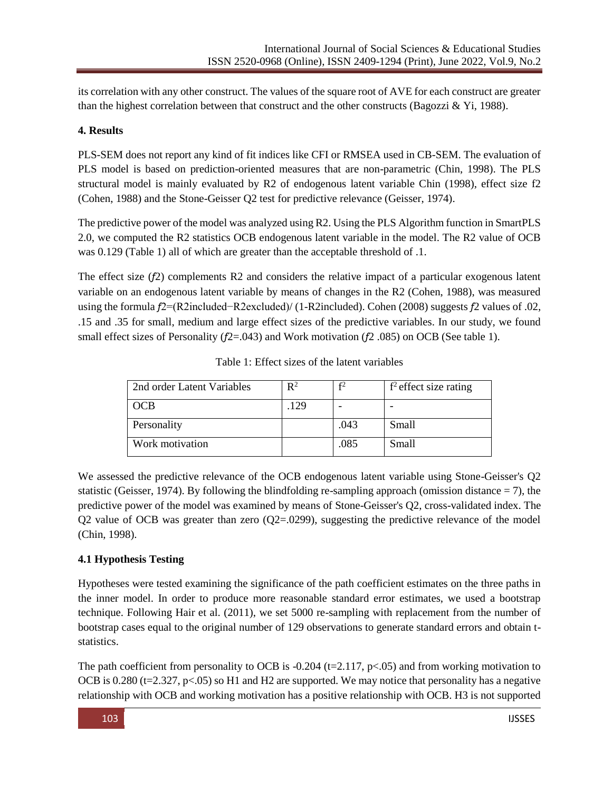its correlation with any other construct. The values of the square root of AVE for each construct are greater than the highest correlation between that construct and the other constructs (Bagozzi & Yi, 1988).

# **4. Results**

PLS-SEM does not report any kind of fit indices like CFI or RMSEA used in CB-SEM. The evaluation of PLS model is based on prediction-oriented measures that are non-parametric (Chin, 1998). The PLS structural model is mainly evaluated by R2 of endogenous latent variable Chin (1998), effect size f2 (Cohen, 1988) and the Stone-Geisser Q2 test for predictive relevance (Geisser, 1974).

The predictive power of the model was analyzed using R2. Using the PLS Algorithm function in SmartPLS 2.0, we computed the R2 statistics OCB endogenous latent variable in the model. The R2 value of OCB was 0.129 (Table 1) all of which are greater than the acceptable threshold of .1.

The effect size (*f*2) complements R2 and considers the relative impact of a particular exogenous latent variable on an endogenous latent variable by means of changes in the R2 (Cohen, 1988), was measured using the formula *f*2=(R2included−R2excluded)/ (1-R2included). Cohen (2008) suggests *f*2 values of .02, .15 and .35 for small, medium and large effect sizes of the predictive variables. In our study, we found small effect sizes of Personality (*f*2=.043) and Work motivation (*f*2 .085) on OCB (See table 1).

| 2nd order Latent Variables | $\mathsf{R}^2$ | £2   | $f2$ effect size rating |
|----------------------------|----------------|------|-------------------------|
| OCB                        | .129           |      |                         |
| Personality                |                | .043 | Small                   |
| Work motivation            |                | .085 | Small                   |

Table 1: Effect sizes of the latent variables

We assessed the predictive relevance of the OCB endogenous latent variable using Stone-Geisser's Q2 statistic (Geisser, 1974). By following the blindfolding re-sampling approach (omission distance  $= 7$ ), the predictive power of the model was examined by means of Stone-Geisser's Q2, cross-validated index. The  $Q2$  value of OCB was greater than zero  $(Q2=0299)$ , suggesting the predictive relevance of the model (Chin, 1998).

# **4.1 Hypothesis Testing**

Hypotheses were tested examining the significance of the path coefficient estimates on the three paths in the inner model. In order to produce more reasonable standard error estimates, we used a bootstrap technique. Following Hair et al. (2011), we set 5000 re-sampling with replacement from the number of bootstrap cases equal to the original number of 129 observations to generate standard errors and obtain tstatistics.

The path coefficient from personality to OCB is -0.204 ( $t=2.117$ ,  $p<0.05$ ) and from working motivation to OCB is 0.280 (t=2.327, p<.05) so H1 and H2 are supported. We may notice that personality has a negative relationship with OCB and working motivation has a positive relationship with OCB. H3 is not supported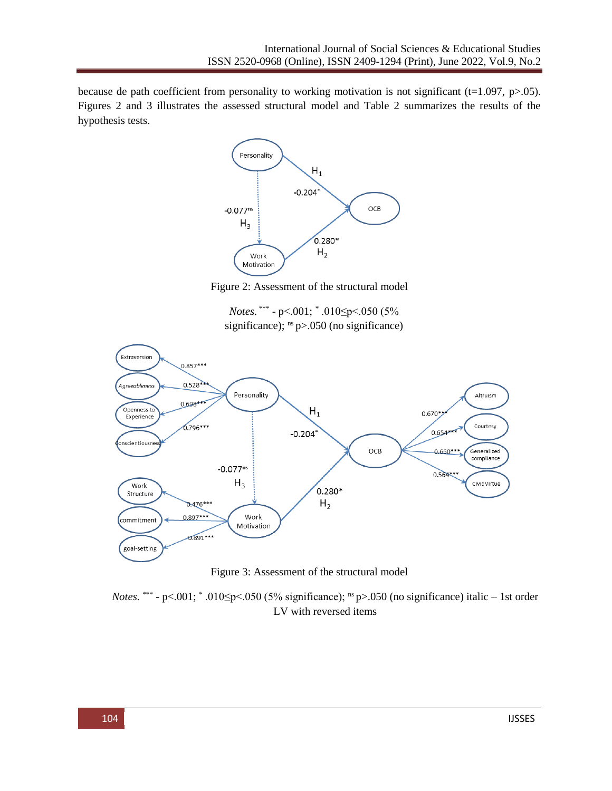because de path coefficient from personality to working motivation is not significant (t=1.097, p>.05). Figures 2 and 3 illustrates the assessed structural model and Table 2 summarizes the results of the hypothesis tests.



Figure 2: Assessment of the structural model

*Notes.* \*\*\* - p<.001; \* .010≤p<.050 (5% significance);  $\text{ns } p$  > 050 (no significance)



Figure 3: Assessment of the structural model

*Notes.* \*\*\* - p<.001;  $*$  .010 $\leq$ p<.050 (5% significance); <sup>ns</sup> p>.050 (no significance) italic – 1st order LV with reversed items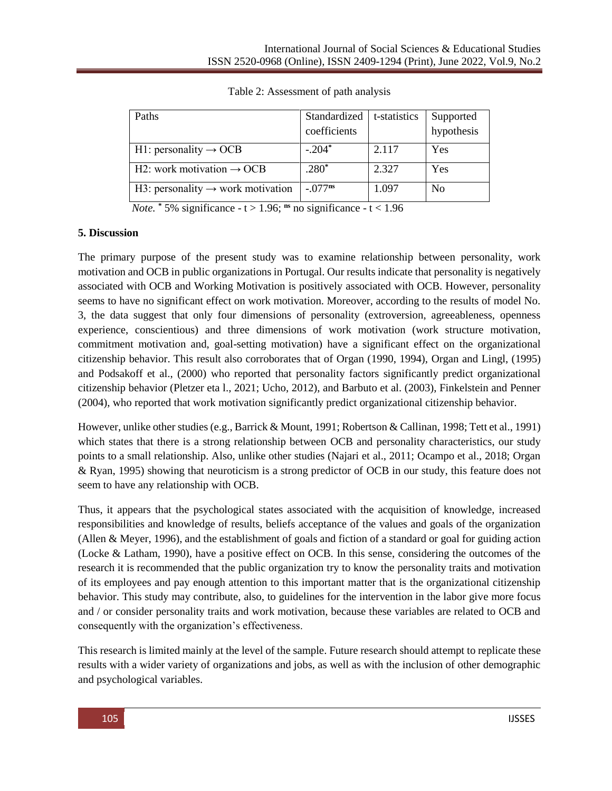| Paths                                         | Standardized     | t-statistics | Supported      |
|-----------------------------------------------|------------------|--------------|----------------|
|                                               | coefficients     |              | hypothesis     |
| H1: personality $\rightarrow$ OCB             | $-.204*$         | 2.117        | Yes            |
| H2: work motivation $\rightarrow$ OCB         | $.280*$          | 2.327        | Yes            |
| H3: personality $\rightarrow$ work motivation | $-.077^{\rm ns}$ | 1.097        | N <sub>0</sub> |

Table 2: Assessment of path analysis

*Note.*  $*$  5% significance  $-t$  > 1.96; <sup>ns</sup> no significance  $-t$  < 1.96

## **5. Discussion**

The primary purpose of the present study was to examine relationship between personality, work motivation and OCB in public organizations in Portugal. Our results indicate that personality is negatively associated with OCB and Working Motivation is positively associated with OCB. However, personality seems to have no significant effect on work motivation. Moreover, according to the results of model No. 3, the data suggest that only four dimensions of personality (extroversion, agreeableness, openness experience, conscientious) and three dimensions of work motivation (work structure motivation, commitment motivation and, goal-setting motivation) have a significant effect on the organizational citizenship behavior. This result also corroborates that of Organ (1990, 1994), Organ and Lingl, (1995) and Podsakoff et al., (2000) who reported that personality factors significantly predict organizational citizenship behavior (Pletzer eta l., 2021; Ucho, 2012), and Barbuto et al. (2003), Finkelstein and Penner (2004), who reported that work motivation significantly predict organizational citizenship behavior.

However, unlike other studies (e.g., Barrick & Mount, 1991; Robertson & Callinan, 1998; Tett et al., 1991) which states that there is a strong relationship between OCB and personality characteristics, our study points to a small relationship. Also, unlike other studies (Najari et al., 2011; Ocampo et al., 2018; Organ & Ryan, 1995) showing that neuroticism is a strong predictor of OCB in our study, this feature does not seem to have any relationship with OCB.

Thus, it appears that the psychological states associated with the acquisition of knowledge, increased responsibilities and knowledge of results, beliefs acceptance of the values and goals of the organization (Allen & Meyer, 1996), and the establishment of goals and fiction of a standard or goal for guiding action (Locke & Latham, 1990), have a positive effect on OCB. In this sense, considering the outcomes of the research it is recommended that the public organization try to know the personality traits and motivation of its employees and pay enough attention to this important matter that is the organizational citizenship behavior. This study may contribute, also, to guidelines for the intervention in the labor give more focus and / or consider personality traits and work motivation, because these variables are related to OCB and consequently with the organization's effectiveness.

This research is limited mainly at the level of the sample. Future research should attempt to replicate these results with a wider variety of organizations and jobs, as well as with the inclusion of other demographic and psychological variables.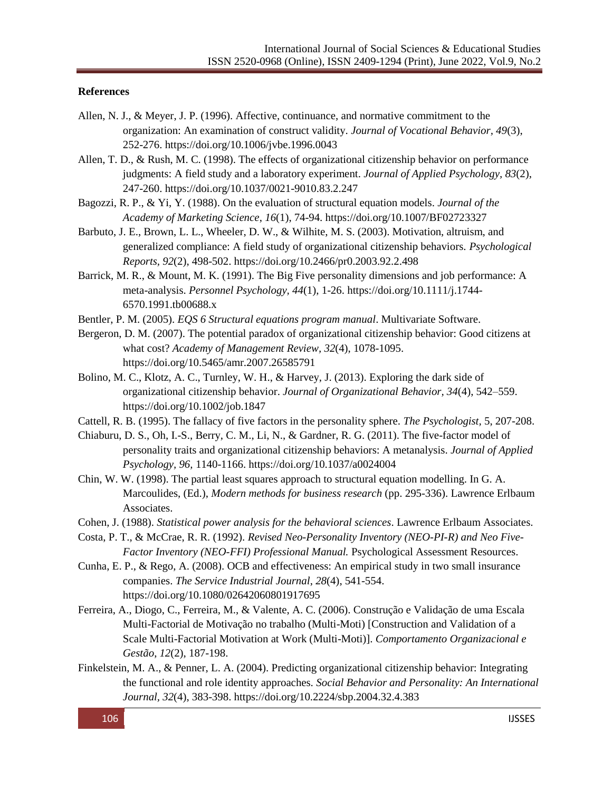## **References**

- Allen, N. J., & Meyer, J. P. (1996). Affective, continuance, and normative commitment to the organization: An examination of construct validity. *Journal of Vocational Behavior, 49*(3), 252-276.<https://doi.org/10.1006/jvbe.1996.0043>
- Allen, T. D., & Rush, M. C. (1998). The effects of organizational citizenship behavior on performance judgments: A field study and a laboratory experiment. *Journal of Applied Psychology, 83*(2), 247-260.<https://doi.org/10.1037/0021-9010.83.2.247>
- Bagozzi, R. P., & Yi, Y. (1988). On the evaluation of structural equation models. *Journal of the Academy of Marketing Science*, *16*(1), 74-94. <https://doi.org/10.1007/BF02723327>
- Barbuto, J. E., Brown, L. L., Wheeler, D. W., & Wilhite, M. S. (2003). Motivation, altruism, and generalized compliance: A field study of organizational citizenship behaviors. *Psychological Reports, 92*(2), 498-502.<https://doi.org/10.2466/pr0.2003.92.2.498>
- Barrick, M. R., & Mount, M. K. (1991). The Big Five personality dimensions and job performance: A meta-analysis. *Personnel Psychology, 44*(1), 1-26. [https://doi.org/10.1111/j.1744-](https://doi.org/10.1111/j.1744-6570.1991.tb00688.x) [6570.1991.tb00688.x](https://doi.org/10.1111/j.1744-6570.1991.tb00688.x)
- Bentler, P. M. (2005). *EQS 6 Structural equations program manual*. Multivariate Software.
- Bergeron, D. M. (2007). The potential paradox of organizational citizenship behavior: Good citizens at what cost? *Academy of Management Review, 32*(4), 1078-1095. <https://doi.org/10.5465/amr.2007.26585791>
- Bolino, M. C., Klotz, A. C., Turnley, W. H., & Harvey, J. (2013). Exploring the dark side of organizational citizenship behavior. *Journal of Organizational Behavior, 34*(4), 542–559. <https://doi.org/10.1002/job.1847>
- Cattell, R. B. (1995). The fallacy of five factors in the personality sphere. *The Psychologist,* 5, 207-208.
- Chiaburu, D. S., Oh, I.-S., Berry, C. M., Li, N., & Gardner, R. G. (2011). The five-factor model of personality traits and organizational citizenship behaviors: A metanalysis. *Journal of Applied Psychology, 96,* 1140-1166.<https://doi.org/10.1037/a0024004>
- Chin, W. W. (1998). The partial least squares approach to structural equation modelling. In G. A. Marcoulides, (Ed.), *Modern methods for business research* (pp. 295-336). Lawrence Erlbaum Associates.
- Cohen, J. (1988). *Statistical power analysis for the behavioral sciences*. Lawrence Erlbaum Associates.
- Costa, P. T., & McCrae, R. R. (1992). *Revised Neo-Personality Inventory (NEO-PI-R) and Neo Five-Factor Inventory (NEO-FFI) Professional Manual. Psychological Assessment Resources.*
- Cunha, E. P., & Rego, A. (2008). OCB and effectiveness: An empirical study in two small insurance companies. *The Service Industrial Journal*, *28*(4), 541-554. <https://doi.org/10.1080/02642060801917695>
- Ferreira, A., Diogo, C., Ferreira, M., & Valente, A. C. (2006). Construção e Validação de uma Escala Multi-Factorial de Motivação no trabalho (Multi-Moti) [Construction and Validation of a Scale Multi-Factorial Motivation at Work (Multi-Moti)]. *Comportamento Organizacional e Gestão*, *12*(2), 187-198.
- Finkelstein, M. A., & Penner, L. A. (2004). Predicting organizational citizenship behavior: Integrating the functional and role identity approaches. *Social Behavior and Personality: An International Journal, 32*(4), 383-398. <https://doi.org/10.2224/sbp.2004.32.4.383>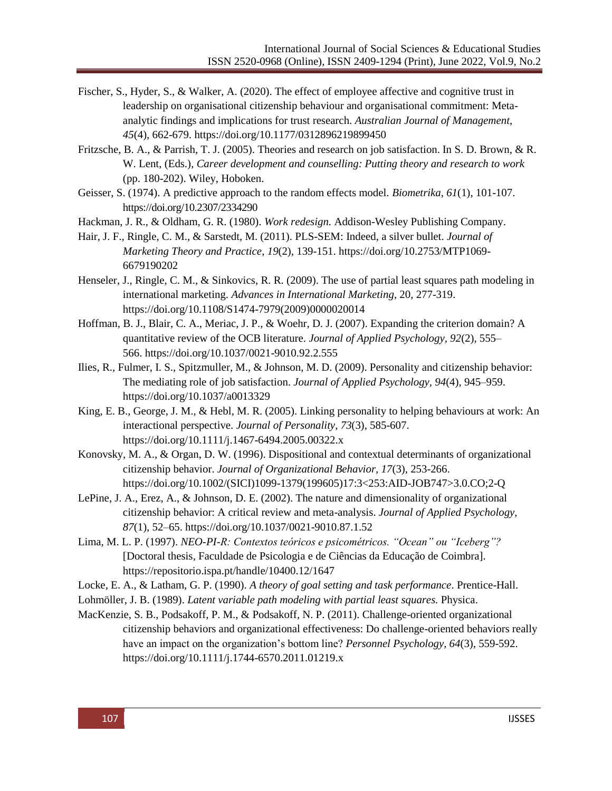- Fischer, S., Hyder, S., & Walker, A. (2020). The effect of employee affective and cognitive trust in leadership on organisational citizenship behaviour and organisational commitment: Metaanalytic findings and implications for trust research. *Australian Journal of Management, 45*(4), 662-679.<https://doi.org/10.1177/0312896219899450>
- Fritzsche, B. A., & Parrish, T. J. (2005). Theories and research on job satisfaction. In S. D. Brown, & R. W. Lent, (Eds.), *Career development and counselling: Putting theory and research to work* (pp. 180-202). Wiley, Hoboken.
- Geisser, S. (1974). A predictive approach to the random effects model. *Biometrika, 61*(1), 101-107. <https://doi.org/10.2307/2334290>

Hackman, J. R., & Oldham, G. R. (1980). *Work redesign.* Addison-Wesley Publishing Company.

- Hair, J. F., Ringle, C. M., & Sarstedt, M. (2011). PLS-SEM: Indeed, a silver bullet. *Journal of Marketing Theory and Practice*, *19*(2), 139-151. [https://doi.org/10.2753/MTP1069-](https://doi.org/10.2753/MTP1069-6679190202) [6679190202](https://doi.org/10.2753/MTP1069-6679190202)
- Henseler, J., Ringle, C. M., & Sinkovics, R. R. (2009). The use of partial least squares path modeling in international marketing. *Advances in International Marketing*, 20, 277-319. [https://doi.org/10.1108/S1474-7979\(2009\)0000020014](https://doi.org/10.1108/S1474-7979(2009)0000020014)
- Hoffman, B. J., Blair, C. A., Meriac, J. P., & Woehr, D. J. (2007). Expanding the criterion domain? A quantitative review of the OCB literature. *Journal of Applied Psychology, 92*(2), 555– 566. <https://doi.org/10.1037/0021-9010.92.2.555>
- Ilies, R., Fulmer, I. S., Spitzmuller, M., & Johnson, M. D. (2009). Personality and citizenship behavior: The mediating role of job satisfaction. *Journal of Applied Psychology, 94*(4), 945–959. <https://doi.org/10.1037/a0013329>
- King, E. B., George, J. M., & Hebl, M. R. (2005). Linking personality to helping behaviours at work: An interactional perspective. *Journal of Personality*, *73*(3), 585-607. <https://doi.org/10.1111/j.1467-6494.2005.00322.x>
- Konovsky, M. A., & Organ, D. W. (1996). Dispositional and contextual determinants of organizational citizenship behavior. *Journal of Organizational Behavior, 17*(3), 253-266. [https://doi.org/10.1002/\(SICI\)1099-1379\(199605\)17:3<253:AID-JOB747>3.0.CO;2-Q](https://doi.org/10.1002/(SICI)1099-1379(199605)17:3%3c253:AID-JOB747%3e3.0.CO;2-Q)
- LePine, J. A., Erez, A., & Johnson, D. E. (2002). The nature and dimensionality of organizational citizenship behavior: A critical review and meta-analysis. *Journal of Applied Psychology, 87*(1), 52–65.<https://doi.org/10.1037/0021-9010.87.1.52>
- Lima, M. L. P. (1997). *NEO-PI-R: Contextos teóricos e psicométricos. "Ocean" ou "Iceberg"?*  [Doctoral thesis*,* Faculdade de Psicologia e de Ciências da Educação de Coimbra]. <https://repositorio.ispa.pt/handle/10400.12/1647>
- Locke, E. A., & Latham, G. P. (1990). *A theory of goal setting and task performance*. Prentice-Hall.
- Lohmöller, J. B. (1989). *Latent variable path modeling with partial least squares.* Physica.
- MacKenzie, S. B., Podsakoff, P. M., & Podsakoff, N. P. (2011). Challenge-oriented organizational citizenship behaviors and organizational effectiveness: Do challenge-oriented behaviors really have an impact on the organization's bottom line? *Personnel Psychology, 64*(3), 559-592. <https://doi.org/10.1111/j.1744-6570.2011.01219.x>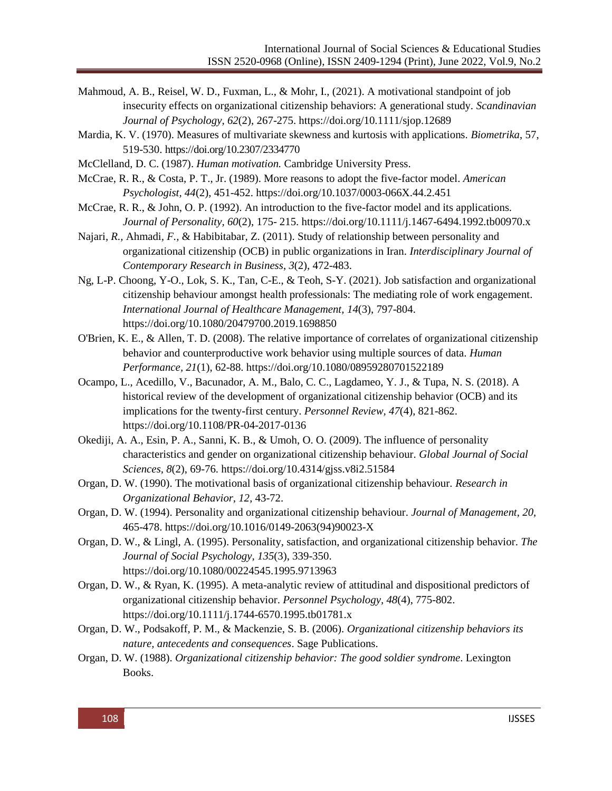- Mahmoud, A. B., Reisel, W. D., Fuxman, L., & Mohr, I., (2021). A motivational standpoint of job insecurity effects on organizational citizenship behaviors: A generational study. *Scandinavian Journal of Psychology, 62*(2), 267-275.<https://doi.org/10.1111/sjop.12689>
- Mardia, K. V. (1970). Measures of multivariate skewness and kurtosis with applications. *Biometrika*, 57, 519-530.<https://doi.org/10.2307/2334770>
- McClelland, D. C. (1987). *Human motivation.* Cambridge University Press.
- McCrae, R. R., & Costa, P. T., Jr. (1989). More reasons to adopt the five-factor model. *American Psychologist, 44*(2), 451-452.<https://doi.org/10.1037/0003-066X.44.2.451>
- McCrae, R. R., & John, O. P. (1992). An introduction to the five-factor model and its applications. *Journal of Personality, 60*(2), 175- 215[. https://doi.org/10.1111/j.1467-6494.1992.tb00970.x](https://doi.org/10.1111/j.1467-6494.1992.tb00970.x)
- Najari*, R.,* Ahmadi*, F.,* & Habibitabar*,* Z. (2011). Study of relationship between personality and organizational citizenship (OCB) in public organizations in Iran. *Interdisciplinary Journal of Contemporary Research in Business*, *3*(2), 472-483.
- Ng, L-P. Choong, Y-O., Lok, S. K., Tan, C-E., & Teoh, S-Y. (2021). Job satisfaction and organizational citizenship behaviour amongst health professionals: The mediating role of work engagement. *International Journal of Healthcare Management, 14*(3), 797-804. <https://doi.org/10.1080/20479700.2019.1698850>
- O'Brien, K. E., & Allen, T. D. (2008). The relative importance of correlates of organizational citizenship behavior and counterproductive work behavior using multiple sources of data. *Human Performance, 21*(1), 62-88.<https://doi.org/10.1080/08959280701522189>
- Ocampo, L., Acedillo, V., Bacunador, A. M., Balo, C. C., Lagdameo, Y. J., & Tupa, N. S. (2018). A historical review of the development of organizational citizenship behavior (OCB) and its implications for the twenty-first century. *Personnel Review, 47*(4), 821-862. <https://doi.org/10.1108/PR-04-2017-0136>
- Okediji, A. A., Esin, P. A., Sanni, K. B., & Umoh, O. O. (2009). The influence of personality characteristics and gender on organizational citizenship behaviour. *Global Journal of Social Sciences, 8*(2), 69-76.<https://doi.org/10.4314/gjss.v8i2.51584>
- Organ, D. W. (1990). The motivational basis of organizational citizenship behaviour. *Research in Organizational Behavior, 12*, 43-72.
- Organ, D. W. (1994). Personality and organizational citizenship behaviour. *Journal of Management*, *20*, 465-478. [https://doi.org/10.1016/0149-2063\(94\)90023-X](https://doi.org/10.1016/0149-2063(94)90023-X)
- Organ, D. W., & Lingl, A. (1995). Personality, satisfaction, and organizational citizenship behavior. *The Journal of Social Psychology, 135*(3), 339-350. <https://doi.org/10.1080/00224545.1995.9713963>
- Organ, D. W., & Ryan, K. (1995). A meta-analytic review of attitudinal and dispositional predictors of organizational citizenship behavior. *Personnel Psychology, 48*(4), 775-802. <https://doi.org/10.1111/j.1744-6570.1995.tb01781.x>
- Organ, D. W., Podsakoff, P. M., & Mackenzie, S. B. (2006). *Organizational citizenship behaviors its nature, antecedents and consequences*. Sage Publications.
- Organ, D. W. (1988). *Organizational citizenship behavior: The good soldier syndrome*. Lexington Books.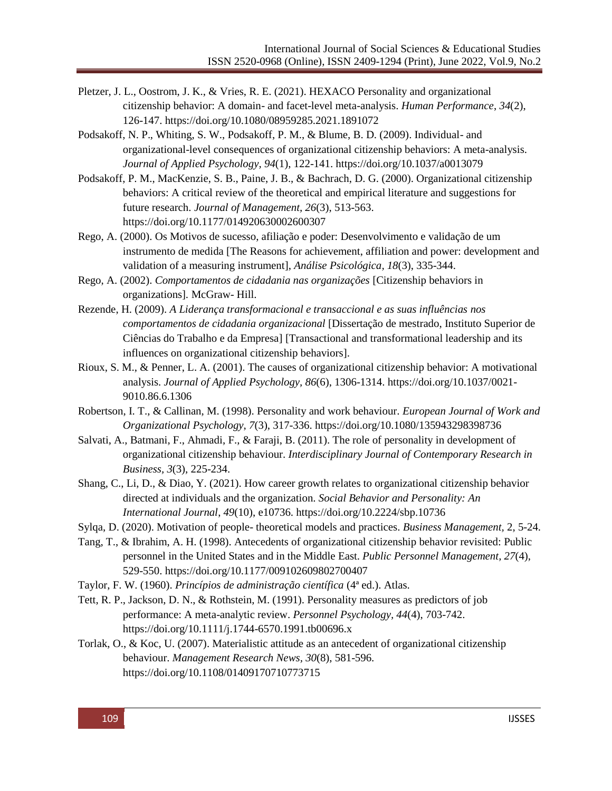- Pletzer, J. L., Oostrom, J. K., & Vries, R. E. (2021). HEXACO Personality and organizational citizenship behavior: A domain- and facet-level meta-analysis. *Human Performance*, *34*(2), 126-147.<https://doi.org/10.1080/08959285.2021.1891072>
- Podsakoff, N. P., Whiting, S. W., Podsakoff, P. M., & Blume, B. D. (2009). Individual- and organizational-level consequences of organizational citizenship behaviors: A meta-analysis. *Journal of Applied Psychology, 94*(1), 122-141. <https://doi.org/10.1037/a0013079>
- Podsakoff, P. M., MacKenzie, S. B., Paine, J. B., & Bachrach, D. G. (2000). Organizational citizenship behaviors: A critical review of the theoretical and empirical literature and suggestions for future research. *Journal of Management, 26*(3), 513-563. <https://doi.org/10.1177/014920630002600307>
- Rego, A. (2000). Os Motivos de sucesso, afiliação e poder: Desenvolvimento e validação de um instrumento de medida [The Reasons for achievement, affiliation and power: development and validation of a measuring instrument], *Análise Psicológica, 18*(3), 335-344.
- Rego, A. (2002). *Comportamentos de cidadania nas organizações* [Citizenship behaviors in organizations]*.* McGraw- Hill.
- Rezende, H. (2009). *A Liderança transformacional e transaccional e as suas influências nos comportamentos de cidadania organizacional* [Dissertação de mestrado, Instituto Superior de Ciências do Trabalho e da Empresa] [Transactional and transformational leadership and its influences on organizational citizenship behaviors].
- Rioux, S. M., & Penner, L. A. (2001). The causes of organizational citizenship behavior: A motivational analysis. *Journal of Applied Psychology, 86*(6), 1306-1314. [https://doi.org/10.1037/0021-](https://doi.org/10.1037/0021-9010.86.6.1306) [9010.86.6.1306](https://doi.org/10.1037/0021-9010.86.6.1306)
- Robertson, I. T., & Callinan, M. (1998). Personality and work behaviour. *European Journal of Work and Organizational Psychology*, *7*(3), 317-336. <https://doi.org/10.1080/135943298398736>
- Salvati, A., Batmani, F., Ahmadi, F., & Faraji, B. (2011). The role of personality in development of organizational citizenship behaviour. *Interdisciplinary Journal of Contemporary Research in Business, 3*(3), 225-234.
- Shang, C., Li, D., & Diao, Y. (2021). How career growth relates to organizational citizenship behavior directed at individuals and the organization. *Social Behavior and Personality: An International Journal*, *49*(10), e10736. <https://doi.org/10.2224/sbp.10736>
- Sylqa, D. (2020). Motivation of people- theoretical models and practices. *Business Management,* 2, 5-24.
- Tang, T., & Ibrahim, A. H. (1998). Antecedents of organizational citizenship behavior revisited: Public personnel in the United States and in the Middle East. *Public Personnel Management, 27*(4), 529-550.<https://doi.org/10.1177/009102609802700407>
- Taylor, F. W. (1960). *Princípios de administração científica* (4ª ed.). Atlas.
- Tett, R. P., Jackson, D. N., & Rothstein, M. (1991). Personality measures as predictors of job performance: A meta-analytic review. *Personnel Psychology, 44*(4), 703-742. <https://doi.org/10.1111/j.1744-6570.1991.tb00696.x>
- Torlak, O., & Koc, U. (2007). Materialistic attitude as an antecedent of organizational citizenship behaviour. *Management Research News, 30*(8), 581-596. <https://doi.org/10.1108/01409170710773715>